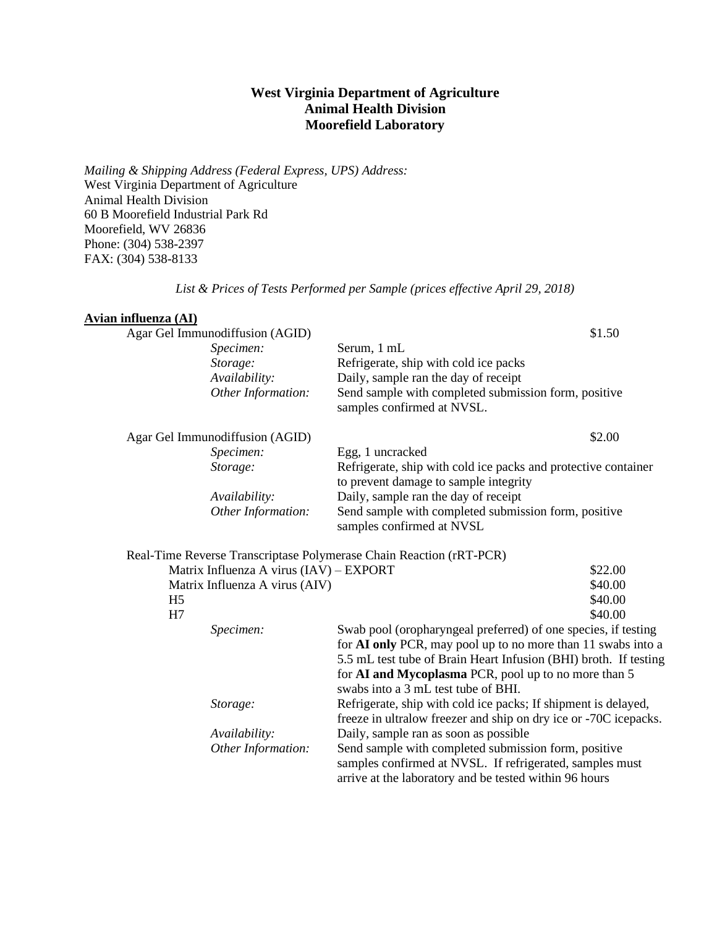## **West Virginia Department of Agriculture Animal Health Division Moorefield Laboratory**

*Mailing & Shipping Address (Federal Express, UPS) Address:* West Virginia Department of Agriculture Animal Health Division 60 B Moorefield Industrial Park Rd Moorefield, WV 26836 Phone: (304) 538-2397 FAX: (304) 538-8133

*List & Prices of Tests Performed per Sample (prices effective April 29, 2018)*

#### **Avian influenza (AI)**

|                | Agar Gel Immunodiffusion (AGID)         |                                                                                    | \$1.50  |
|----------------|-----------------------------------------|------------------------------------------------------------------------------------|---------|
|                | Specimen:                               | Serum, 1 mL                                                                        |         |
|                | Storage:                                | Refrigerate, ship with cold ice packs                                              |         |
|                | Availability:                           | Daily, sample ran the day of receipt                                               |         |
|                | Other Information:                      | Send sample with completed submission form, positive<br>samples confirmed at NVSL. |         |
|                | Agar Gel Immunodiffusion (AGID)         |                                                                                    | \$2.00  |
|                | Specimen:                               | Egg, 1 uncracked                                                                   |         |
|                | Storage:                                | Refrigerate, ship with cold ice packs and protective container                     |         |
|                |                                         | to prevent damage to sample integrity                                              |         |
|                | Availability:                           | Daily, sample ran the day of receipt                                               |         |
|                | Other Information:                      | Send sample with completed submission form, positive<br>samples confirmed at NVSL  |         |
|                |                                         | Real-Time Reverse Transcriptase Polymerase Chain Reaction (rRT-PCR)                |         |
|                | Matrix Influenza A virus (IAV) – EXPORT |                                                                                    | \$22.00 |
|                | Matrix Influenza A virus (AIV)          |                                                                                    | \$40.00 |
| H <sub>5</sub> |                                         |                                                                                    | \$40.00 |
| H <sub>7</sub> |                                         |                                                                                    | \$40.00 |
|                | Specimen:                               | Swab pool (oropharyngeal preferred) of one species, if testing                     |         |
|                |                                         | for AI only PCR, may pool up to no more than 11 swabs into a                       |         |
|                |                                         | 5.5 mL test tube of Brain Heart Infusion (BHI) broth. If testing                   |         |
|                |                                         | for AI and Mycoplasma PCR, pool up to no more than 5                               |         |
|                |                                         | swabs into a 3 mL test tube of BHI.                                                |         |
|                | Storage:                                | Refrigerate, ship with cold ice packs; If shipment is delayed,                     |         |
|                |                                         | freeze in ultralow freezer and ship on dry ice or -70C icepacks.                   |         |
|                | Availability:                           | Daily, sample ran as soon as possible                                              |         |
|                | Other Information:                      | Send sample with completed submission form, positive                               |         |
|                |                                         | samples confirmed at NVSL. If refrigerated, samples must                           |         |
|                |                                         | arrive at the laboratory and be tested within 96 hours                             |         |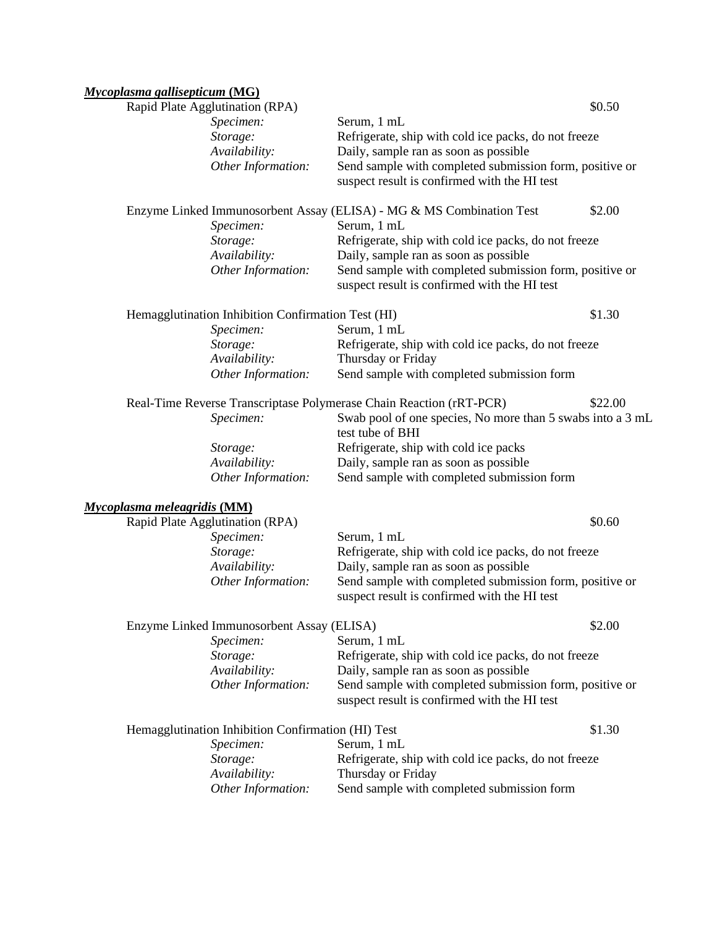# *Mycoplasma gallisepticum* **(MG)**

| Rapid Plate Agglutination (RPA)                    |                    |                                                                                                                                   | \$0.50  |
|----------------------------------------------------|--------------------|-----------------------------------------------------------------------------------------------------------------------------------|---------|
| Specimen:                                          |                    | Serum, 1 mL                                                                                                                       |         |
| Storage:                                           |                    | Refrigerate, ship with cold ice packs, do not freeze                                                                              |         |
| Availability:                                      |                    | Daily, sample ran as soon as possible                                                                                             |         |
|                                                    | Other Information: | Send sample with completed submission form, positive or<br>suspect result is confirmed with the HI test                           |         |
|                                                    |                    | Enzyme Linked Immunosorbent Assay (ELISA) - MG & MS Combination Test                                                              | \$2.00  |
| Specimen:                                          |                    | Serum, 1 mL                                                                                                                       |         |
| Storage:                                           |                    | Refrigerate, ship with cold ice packs, do not freeze                                                                              |         |
| Availability:                                      |                    | Daily, sample ran as soon as possible                                                                                             |         |
|                                                    | Other Information: | Send sample with completed submission form, positive or<br>suspect result is confirmed with the HI test                           |         |
| Hemagglutination Inhibition Confirmation Test (HI) |                    |                                                                                                                                   | \$1.30  |
| Specimen:                                          |                    | Serum, 1 mL                                                                                                                       |         |
| Storage:<br>Availability:                          |                    | Refrigerate, ship with cold ice packs, do not freeze<br>Thursday or Friday                                                        |         |
|                                                    | Other Information: | Send sample with completed submission form                                                                                        |         |
|                                                    |                    |                                                                                                                                   | \$22.00 |
| Specimen:                                          |                    | Real-Time Reverse Transcriptase Polymerase Chain Reaction (rRT-PCR)<br>Swab pool of one species, No more than 5 swabs into a 3 mL |         |
|                                                    |                    | test tube of BHI                                                                                                                  |         |
| Storage:                                           |                    | Refrigerate, ship with cold ice packs                                                                                             |         |
| Availability:                                      |                    | Daily, sample ran as soon as possible                                                                                             |         |
|                                                    | Other Information: | Send sample with completed submission form                                                                                        |         |
| <b>Mycoplasma meleagridis (MM)</b>                 |                    |                                                                                                                                   |         |
| Rapid Plate Agglutination (RPA)                    |                    |                                                                                                                                   | \$0.60  |
| Specimen:                                          |                    | Serum, 1 mL                                                                                                                       |         |
| Storage:                                           |                    | Refrigerate, ship with cold ice packs, do not freeze                                                                              |         |
| Availability:                                      |                    | Daily, sample ran as soon as possible                                                                                             |         |
|                                                    | Other Information: | Send sample with completed submission form, positive or<br>suspect result is confirmed with the HI test                           |         |
| Enzyme Linked Immunosorbent Assay (ELISA)          |                    |                                                                                                                                   | \$2.00  |
| Specimen:                                          |                    | Serum, 1 mL                                                                                                                       |         |
| Storage:                                           |                    | Refrigerate, ship with cold ice packs, do not freeze                                                                              |         |
| Availability:                                      |                    | Daily, sample ran as soon as possible                                                                                             |         |
|                                                    | Other Information: | Send sample with completed submission form, positive or<br>suspect result is confirmed with the HI test                           |         |
| Hemagglutination Inhibition Confirmation (HI) Test |                    |                                                                                                                                   | \$1.30  |
| Specimen:                                          |                    | Serum, 1 mL                                                                                                                       |         |
| Storage:                                           |                    | Refrigerate, ship with cold ice packs, do not freeze                                                                              |         |
| Availability:                                      |                    | Thursday or Friday                                                                                                                |         |
|                                                    | Other Information: | Send sample with completed submission form                                                                                        |         |
|                                                    |                    |                                                                                                                                   |         |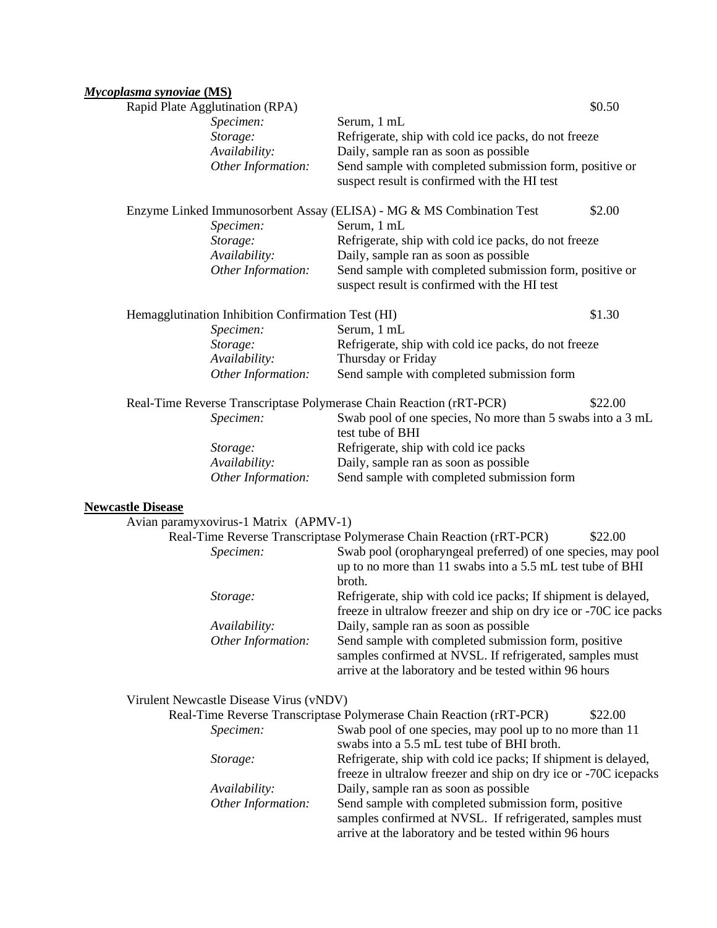## *Mycoplasma synoviae* **(MS)**

| Rapid Plate Agglutination (RPA)                                     |                                                                                                         | \$0.50  |
|---------------------------------------------------------------------|---------------------------------------------------------------------------------------------------------|---------|
| Specimen:                                                           | Serum, 1 mL                                                                                             |         |
| Storage:                                                            | Refrigerate, ship with cold ice packs, do not freeze                                                    |         |
| Availability:                                                       | Daily, sample ran as soon as possible                                                                   |         |
| Other Information:                                                  | Send sample with completed submission form, positive or                                                 |         |
|                                                                     | suspect result is confirmed with the HI test                                                            |         |
|                                                                     | Enzyme Linked Immunosorbent Assay (ELISA) - MG & MS Combination Test                                    | \$2.00  |
| Specimen:                                                           | Serum, 1 mL                                                                                             |         |
| Storage:                                                            | Refrigerate, ship with cold ice packs, do not freeze                                                    |         |
| Availability:                                                       | Daily, sample ran as soon as possible                                                                   |         |
| Other Information:                                                  | Send sample with completed submission form, positive or<br>suspect result is confirmed with the HI test |         |
| Hemagglutination Inhibition Confirmation Test (HI)                  |                                                                                                         | \$1.30  |
| Specimen:                                                           | Serum, 1 mL                                                                                             |         |
| Storage:                                                            | Refrigerate, ship with cold ice packs, do not freeze                                                    |         |
| Availability:                                                       | Thursday or Friday                                                                                      |         |
| Other Information:                                                  | Send sample with completed submission form                                                              |         |
| Real-Time Reverse Transcriptase Polymerase Chain Reaction (rRT-PCR) |                                                                                                         | \$22.00 |
| Specimen:                                                           | Swab pool of one species, No more than 5 swabs into a 3 mL<br>test tube of BHI                          |         |
| Storage:                                                            | Refrigerate, ship with cold ice packs                                                                   |         |
| Availability:                                                       | Daily, sample ran as soon as possible                                                                   |         |
| Other Information:                                                  | Send sample with completed submission form                                                              |         |
| <b>Newcastle Disease</b>                                            |                                                                                                         |         |
| Avian paramyxovirus-1 Matrix (APMV-1)                               |                                                                                                         |         |
|                                                                     | Real-Time Reverse Transcriptase Polymerase Chain Reaction (rRT-PCR)                                     | \$22.00 |
| Specimen:                                                           | Swab pool (oropharyngeal preferred) of one species, may pool                                            |         |
|                                                                     | up to no more than 11 swabs into a 5.5 mL test tube of BHI<br>broth.                                    |         |
| Storage:                                                            | Refrigerate, ship with cold ice packs; If shipment is delayed,                                          |         |
|                                                                     | freeze in ultralow freezer and ship on dry ice or -70C ice packs                                        |         |
| Availability:                                                       | Daily, sample ran as soon as possible                                                                   |         |
| Other Information:                                                  | Send sample with completed submission form, positive                                                    |         |
|                                                                     | samples confirmed at NVSL. If refrigerated, samples must                                                |         |
|                                                                     | arrive at the laboratory and be tested within 96 hours                                                  |         |
| Virulent Newcastle Disease Virus (vNDV)                             |                                                                                                         |         |
|                                                                     | Real-Time Reverse Transcriptase Polymerase Chain Reaction (rRT-PCR)                                     | \$22.00 |
| Specimen:                                                           | Swab pool of one species, may pool up to no more than 11<br>swabs into a 5.5 mL test tube of BHI broth. |         |
| Storage:                                                            | Refrigerate, ship with cold ice packs; If shipment is delayed,                                          |         |

|                    | freeze in ultralow freezer and ship on dry ice or -70C icepacks |
|--------------------|-----------------------------------------------------------------|
| Availability:      | Daily, sample ran as soon as possible                           |
| Other Information: | Send sample with completed submission form, positive            |
|                    | samples confirmed at NVSL. If refrigerated, samples must        |
|                    | arrive at the laboratory and be tested within 96 hours          |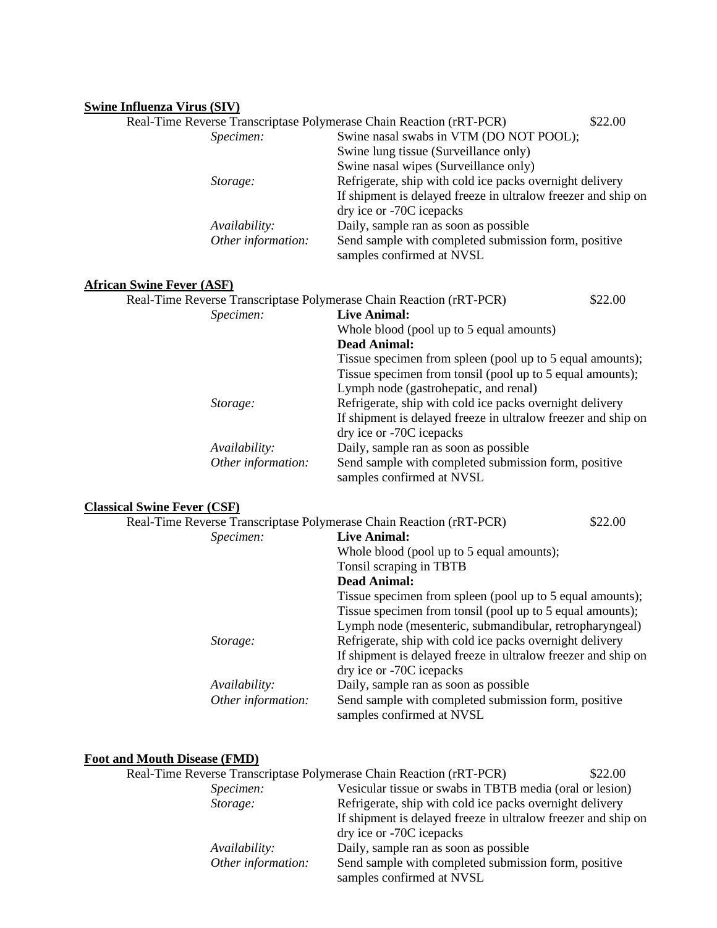### **Swine Influenza Virus (SIV)**

| $\mathbf{r}$                       |                    |                                                                                   |  |
|------------------------------------|--------------------|-----------------------------------------------------------------------------------|--|
|                                    |                    | Real-Time Reverse Transcriptase Polymerase Chain Reaction (rRT-PCR)<br>\$22.00    |  |
|                                    | Specimen:          | Swine nasal swabs in VTM (DO NOT POOL);                                           |  |
|                                    |                    | Swine lung tissue (Surveillance only)                                             |  |
|                                    |                    | Swine nasal wipes (Surveillance only)                                             |  |
|                                    | Storage:           | Refrigerate, ship with cold ice packs overnight delivery                          |  |
|                                    |                    | If shipment is delayed freeze in ultralow freezer and ship on                     |  |
|                                    |                    | dry ice or -70C icepacks                                                          |  |
|                                    | Availability:      | Daily, sample ran as soon as possible                                             |  |
|                                    | Other information: | Send sample with completed submission form, positive<br>samples confirmed at NVSL |  |
| <b>African Swine Fever (ASF)</b>   |                    |                                                                                   |  |
|                                    |                    | Real-Time Reverse Transcriptase Polymerase Chain Reaction (rRT-PCR)<br>\$22.00    |  |
|                                    | Specimen:          | <b>Live Animal:</b>                                                               |  |
|                                    |                    | Whole blood (pool up to 5 equal amounts)                                          |  |
|                                    |                    | <b>Dead Animal:</b>                                                               |  |
|                                    |                    | Tissue specimen from spleen (pool up to 5 equal amounts);                         |  |
|                                    |                    | Tissue specimen from tonsil (pool up to 5 equal amounts);                         |  |
|                                    |                    | Lymph node (gastrohepatic, and renal)                                             |  |
|                                    | Storage:           | Refrigerate, ship with cold ice packs overnight delivery                          |  |
|                                    |                    | If shipment is delayed freeze in ultralow freezer and ship on                     |  |
|                                    |                    | dry ice or -70C icepacks                                                          |  |
|                                    | Availability:      | Daily, sample ran as soon as possible                                             |  |
|                                    | Other information: | Send sample with completed submission form, positive                              |  |
|                                    |                    | samples confirmed at NVSL                                                         |  |
| <b>Classical Swine Fever (CSF)</b> |                    |                                                                                   |  |
|                                    |                    | Real-Time Reverse Transcriptase Polymerase Chain Reaction (rRT-PCR)<br>\$22.00    |  |
|                                    | Specimen:          | <b>Live Animal:</b>                                                               |  |
|                                    |                    | Whole blood (pool up to 5 equal amounts);                                         |  |
|                                    |                    | Tonsil scraping in TBTB                                                           |  |
|                                    |                    | <b>Dead Animal:</b>                                                               |  |
|                                    |                    | Tissue specimen from spleen (pool up to 5 equal amounts);                         |  |
|                                    |                    | Tissue specimen from tonsil (pool up to 5 equal amounts);                         |  |
|                                    |                    | Lymph node (mesenteric, submandibular, retropharyngeal)                           |  |
|                                    | Storage:           | Refrigerate, ship with cold ice packs overnight delivery                          |  |
|                                    |                    | If shipment is delayed freeze in ultralow freezer and ship on                     |  |
|                                    |                    | dry ice or -70C icepacks                                                          |  |

*Availability:* Daily, sample ran as soon as possible<br>*Other information:* Send sample with completed submiss

Send sample with completed submission form, positive samples confirmed at NVSL

#### **Foot and Mouth Disease (FMD)**

|                    | Real-Time Reverse Transcriptase Polymerase Chain Reaction (rRT-PCR) | \$22.00 |
|--------------------|---------------------------------------------------------------------|---------|
| Specimen:          | Vesicular tissue or swabs in TBTB media (oral or lesion)            |         |
| Storage:           | Refrigerate, ship with cold ice packs overnight delivery            |         |
|                    | If shipment is delayed freeze in ultralow freezer and ship on       |         |
|                    | dry ice or -70C icepacks                                            |         |
| Availability:      | Daily, sample ran as soon as possible                               |         |
| Other information: | Send sample with completed submission form, positive                |         |
|                    | samples confirmed at NVSL                                           |         |